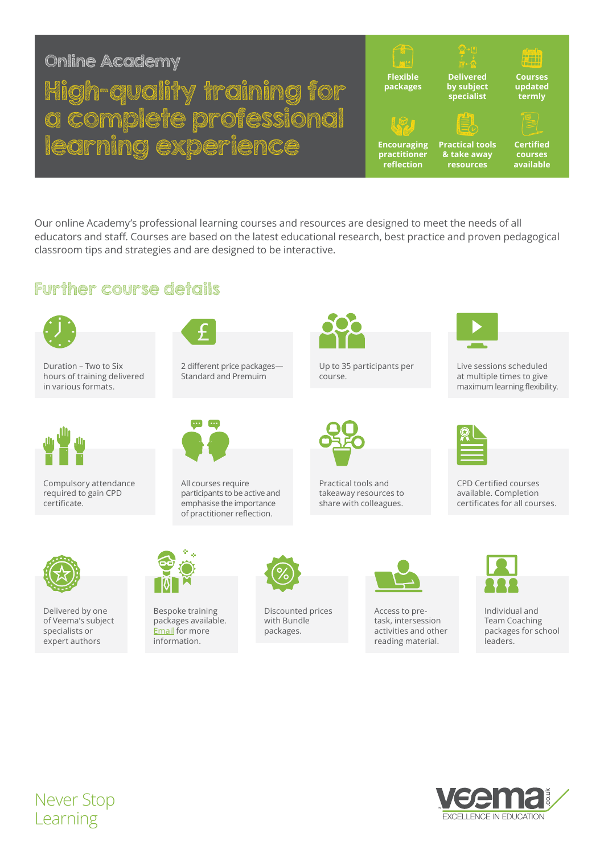# Online Academy

# High-quality training for a complete professional learning experience



Our online Academy's professional learning courses and resources are designed to meet the needs of all educators and staff. Courses are based on the latest educational research, best practice and proven pedagogical classroom tips and strategies and are designed to be interactive.

### Further course details



Duration – Two to Six hours of training delivered in various formats.



Compulsory attendance required to gain CPD certificate.



Delivered by one of Veema's subject specialists or expert authors



2 different price packages— Standard and Premuim



All courses require participants to be active and emphasise the importance of practitioner reflection.



Up to 35 participants per course.



Practical tools and takeaway resources to share with colleagues.



Live sessions scheduled at multiple times to give maximum learning flexibility.



CPD Certified courses available. Completion certificates for all courses.



Bespoke training packages available. [Email](mailto:cpd%40veema.co.uk?subject=Online%20Academy%20Info%20Sheet) for more information.



Discounted prices with Bundle packages.



Access to pretask, intersession activities and other reading material.



Individual and Team Coaching packages for school leaders.